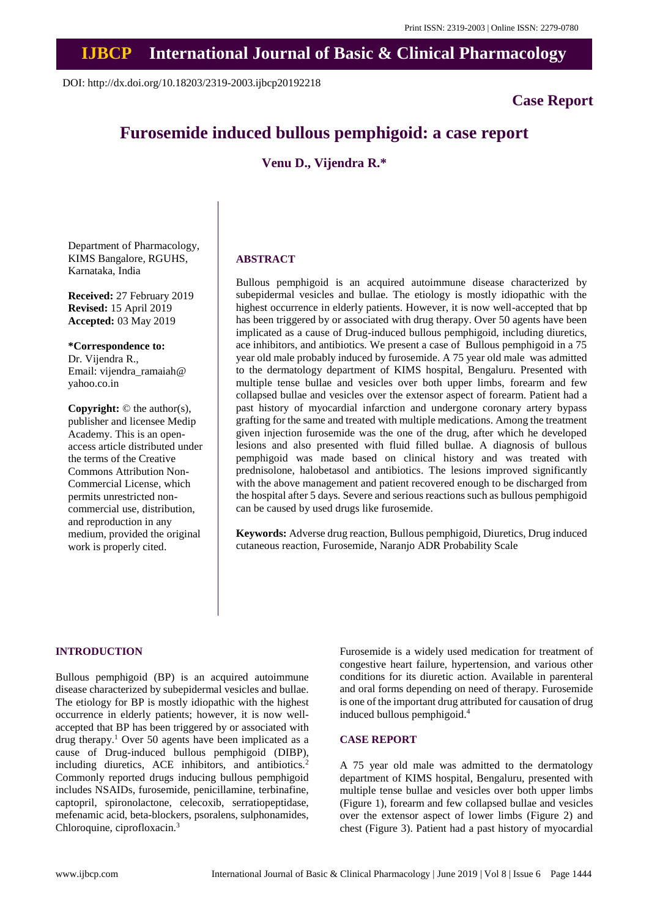## **IJBCP International Journal of Basic & Clinical Pharmacology**

DOI: http://dx.doi.org/10.18203/2319-2003.ijbcp20192218

## **Case Report**

# **Furosemide induced bullous pemphigoid: a case report**

**Venu D., Vijendra R.\***

Department of Pharmacology, KIMS Bangalore, RGUHS, Karnataka, India

**Received:** 27 February 2019 **Revised:** 15 April 2019 **Accepted:** 03 May 2019

**\*Correspondence to:** Dr. Vijendra R., Email: vijendra\_ramaiah@ yahoo.co.in

**Copyright:** © the author(s), publisher and licensee Medip Academy. This is an openaccess article distributed under the terms of the Creative Commons Attribution Non-Commercial License, which permits unrestricted noncommercial use, distribution, and reproduction in any medium, provided the original work is properly cited.

#### **ABSTRACT**

Bullous pemphigoid is an acquired autoimmune disease characterized by subepidermal vesicles and bullae. The etiology is mostly idiopathic with the highest occurrence in elderly patients. However, it is now well-accepted that bp has been triggered by or associated with drug therapy. Over 50 agents have been implicated as a cause of Drug-induced bullous pemphigoid, including diuretics, ace inhibitors, and antibiotics. We present a case of Bullous pemphigoid in a 75 year old male probably induced by furosemide. A 75 year old male was admitted to the dermatology department of KIMS hospital, Bengaluru. Presented with multiple tense bullae and vesicles over both upper limbs, forearm and few collapsed bullae and vesicles over the extensor aspect of forearm. Patient had a past history of myocardial infarction and undergone coronary artery bypass grafting for the same and treated with multiple medications. Among the treatment given injection furosemide was the one of the drug, after which he developed lesions and also presented with fluid filled bullae. A diagnosis of bullous pemphigoid was made based on clinical history and was treated with prednisolone, halobetasol and antibiotics. The lesions improved significantly with the above management and patient recovered enough to be discharged from the hospital after 5 days. Severe and serious reactions such as bullous pemphigoid can be caused by used drugs like furosemide.

**Keywords:** Adverse drug reaction, Bullous pemphigoid, Diuretics, Drug induced cutaneous reaction, Furosemide, Naranjo ADR Probability Scale

## **INTRODUCTION**

Bullous pemphigoid (BP) is an acquired autoimmune disease characterized by subepidermal vesicles and bullae. The etiology for BP is mostly idiopathic with the highest occurrence in elderly patients; however, it is now wellaccepted that BP has been triggered by or associated with drug therapy.<sup>1</sup> Over 50 agents have been implicated as a cause of Drug-induced bullous pemphigoid (DIBP), including diuretics, ACE inhibitors, and antibiotics.<sup>2</sup> Commonly reported drugs inducing bullous pemphigoid includes NSAIDs, furosemide, penicillamine, terbinafine, captopril, spironolactone, celecoxib, serratiopeptidase, mefenamic acid, beta-blockers, psoralens, sulphonamides, Chloroquine, ciprofloxacin.<sup>3</sup>

Furosemide is a widely used medication for treatment of congestive heart failure, hypertension, and various other conditions for its diuretic action. Available in parenteral and oral forms depending on need of therapy. Furosemide is one of the important drug attributed for causation of drug induced bullous pemphigoid.<sup>4</sup>

#### **CASE REPORT**

A 75 year old male was admitted to the dermatology department of KIMS hospital, Bengaluru, presented with multiple tense bullae and vesicles over both upper limbs (Figure 1), forearm and few collapsed bullae and vesicles over the extensor aspect of lower limbs (Figure 2) and chest (Figure 3). Patient had a past history of myocardial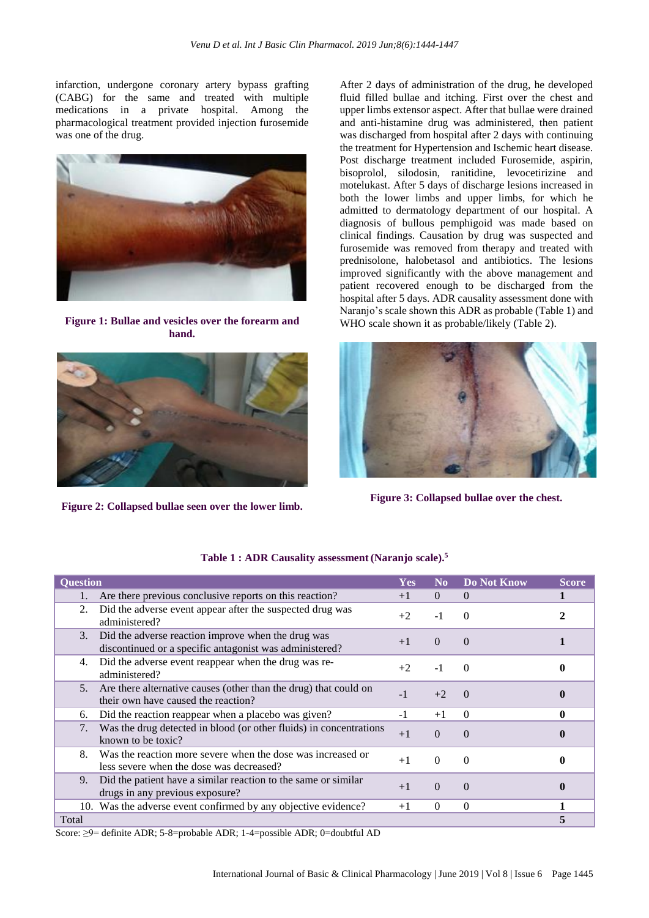infarction, undergone coronary artery bypass grafting (CABG) for the same and treated with multiple medications in a private hospital. Among the pharmacological treatment provided injection furosemide was one of the drug.



**Figure 1: Bullae and vesicles over the forearm and hand.**



**Figure 2: Collapsed bullae seen over the lower limb.**

After 2 days of administration of the drug, he developed fluid filled bullae and itching. First over the chest and upper limbs extensor aspect. After that bullae were drained and anti-histamine drug was administered, then patient was discharged from hospital after 2 days with continuing the treatment for Hypertension and Ischemic heart disease. Post discharge treatment included Furosemide, aspirin, bisoprolol, silodosin, ranitidine, levocetirizine and motelukast. After 5 days of discharge lesions increased in both the lower limbs and upper limbs, for which he admitted to dermatology department of our hospital. A diagnosis of bullous pemphigoid was made based on clinical findings. Causation by drug was suspected and furosemide was removed from therapy and treated with prednisolone, halobetasol and antibiotics. The lesions improved significantly with the above management and patient recovered enough to be discharged from the hospital after 5 days. ADR causality assessment done with Naranjo's scale shown this ADR as probable (Table 1) and WHO scale shown it as probable/likely (Table 2).



**Figure 3: Collapsed bullae over the chest.**

| <b>Question</b>                                                                                                           | <b>Yes</b> | N <sub>0</sub> | Do Not Know      | <b>Score</b> |
|---------------------------------------------------------------------------------------------------------------------------|------------|----------------|------------------|--------------|
| Are there previous conclusive reports on this reaction?                                                                   | $+1$       | $\Omega$       | $\Omega$         |              |
| Did the adverse event appear after the suspected drug was<br>2.<br>administered?                                          | $+2$       | $-1$           |                  | 2            |
| Did the adverse reaction improve when the drug was<br>3.<br>discontinued or a specific antagonist was administered?       | $+1$       | $\Omega$       | $\left( \right)$ |              |
| Did the adverse event reappear when the drug was re-<br>4.<br>administered?                                               | $+2$       |                | $\Omega$         |              |
| 5 <sub>1</sub><br>Are there alternative causes (other than the drug) that could on<br>their own have caused the reaction? | -1         | $+2$           |                  |              |
| Did the reaction reappear when a placebo was given?<br>6.                                                                 | $-1$       | $+1$           | $\Omega$         | 0            |
| Was the drug detected in blood (or other fluids) in concentrations<br>7.<br>known to be toxic?                            | $+1$       | $\Omega$       | $\Omega$         |              |
| Was the reaction more severe when the dose was increased or<br>8.<br>less severe when the dose was decreased?             | $+1$       | $\theta$       | $\Omega$         |              |
| Did the patient have a similar reaction to the same or similar<br>9.<br>drugs in any previous exposure?                   | $+1$       | $\Omega$       | $\Omega$         |              |
| 10. Was the adverse event confirmed by any objective evidence?                                                            | $+1$       | $\Omega$       | $\Omega$         |              |
| Total                                                                                                                     |            |                |                  |              |

### **Table 1 : ADR Causality assessment (Naranjo scale). 5**

Score: ≥9= definite ADR; 5-8=probable ADR; 1-4=possible ADR; 0=doubtful AD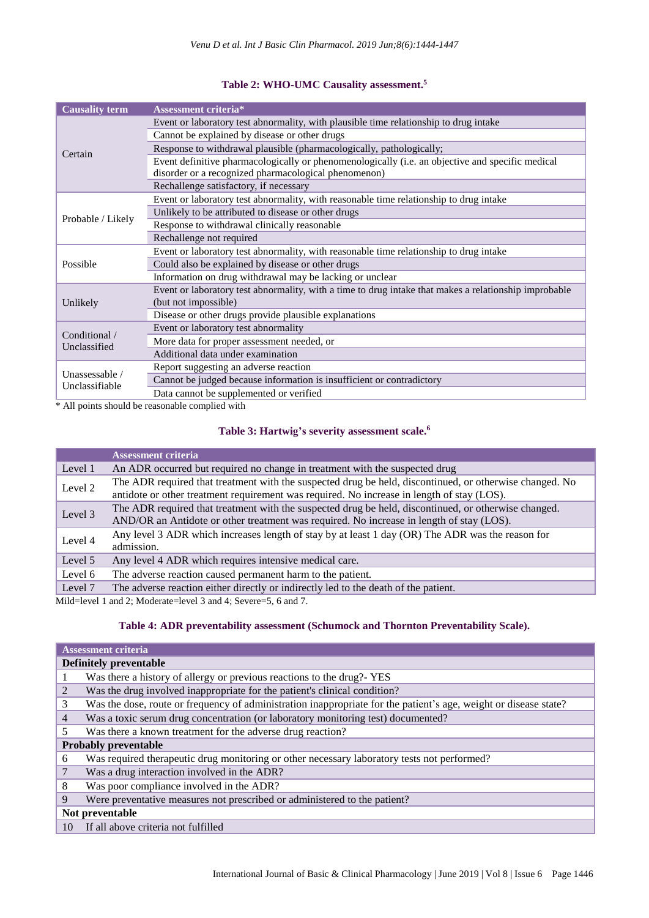## **Table 2: WHO-UMC Causality assessment. 5**

| <b>Causality term</b>            | <b>Assessment criteria*</b>                                                                           |
|----------------------------------|-------------------------------------------------------------------------------------------------------|
| Certain                          | Event or laboratory test abnormality, with plausible time relationship to drug intake                 |
|                                  | Cannot be explained by disease or other drugs                                                         |
|                                  | Response to withdrawal plausible (pharmacologically, pathologically;                                  |
|                                  | Event definitive pharmacologically or phenomenologically (i.e. an objective and specific medical      |
|                                  | disorder or a recognized pharmacological phenomenon)                                                  |
|                                  | Rechallenge satisfactory, if necessary                                                                |
| Probable / Likely                | Event or laboratory test abnormality, with reasonable time relationship to drug intake                |
|                                  | Unlikely to be attributed to disease or other drugs                                                   |
|                                  | Response to withdrawal clinically reasonable                                                          |
|                                  | Rechallenge not required                                                                              |
|                                  | Event or laboratory test abnormality, with reasonable time relationship to drug intake                |
| Possible                         | Could also be explained by disease or other drugs                                                     |
|                                  | Information on drug withdrawal may be lacking or unclear                                              |
|                                  | Event or laboratory test abnormality, with a time to drug intake that makes a relationship improbable |
| Unlikely                         | (but not impossible)                                                                                  |
|                                  | Disease or other drugs provide plausible explanations                                                 |
|                                  | Event or laboratory test abnormality                                                                  |
| Conditional /<br>Unclassified    | More data for proper assessment needed, or                                                            |
|                                  | Additional data under examination                                                                     |
| Unassessable /<br>Unclassifiable | Report suggesting an adverse reaction                                                                 |
|                                  | Cannot be judged because information is insufficient or contradictory                                 |
|                                  | Data cannot be supplemented or verified                                                               |

\* All points should be reasonable complied with

#### **Table 3: Hartwig's severity assessment scale. 6**

|         | <b>Assessment criteria</b>                                                                                                                                                                            |
|---------|-------------------------------------------------------------------------------------------------------------------------------------------------------------------------------------------------------|
| Level 1 | An ADR occurred but required no change in treatment with the suspected drug                                                                                                                           |
| Level 2 | The ADR required that treatment with the suspected drug be held, discontinued, or otherwise changed. No<br>antidote or other treatment requirement was required. No increase in length of stay (LOS). |
| Level 3 | The ADR required that treatment with the suspected drug be held, discontinued, or otherwise changed.<br>AND/OR an Antidote or other treatment was required. No increase in length of stay (LOS).      |
| Level 4 | Any level 3 ADR which increases length of stay by at least 1 day (OR) The ADR was the reason for<br>admission.                                                                                        |
| Level 5 | Any level 4 ADR which requires intensive medical care.                                                                                                                                                |
| Level 6 | The adverse reaction caused permanent harm to the patient.                                                                                                                                            |
| Level 7 | The adverse reaction either directly or indirectly led to the death of the patient.                                                                                                                   |

Mild=level 1 and 2; Moderate=level 3 and 4; Severe=5, 6 and 7.

## **Table 4: ADR preventability assessment (Schumock and Thornton Preventability Scale).**

|                               | <b>Assessment criteria</b>                                                                                       |  |  |
|-------------------------------|------------------------------------------------------------------------------------------------------------------|--|--|
| <b>Definitely preventable</b> |                                                                                                                  |  |  |
|                               | Was there a history of allergy or previous reactions to the drug?- YES                                           |  |  |
| 2                             | Was the drug involved inappropriate for the patient's clinical condition?                                        |  |  |
| 3                             | Was the dose, route or frequency of administration inappropriate for the patient's age, weight or disease state? |  |  |
| 4                             | Was a toxic serum drug concentration (or laboratory monitoring test) documented?                                 |  |  |
| 5                             | Was there a known treatment for the adverse drug reaction?                                                       |  |  |
| <b>Probably preventable</b>   |                                                                                                                  |  |  |
| 6                             | Was required therapeutic drug monitoring or other necessary laboratory tests not performed?                      |  |  |
| 7                             | Was a drug interaction involved in the ADR?                                                                      |  |  |
| 8                             | Was poor compliance involved in the ADR?                                                                         |  |  |
| 9                             | Were preventative measures not prescribed or administered to the patient?                                        |  |  |
| Not preventable               |                                                                                                                  |  |  |
| 10                            | If all above criteria not fulfilled                                                                              |  |  |